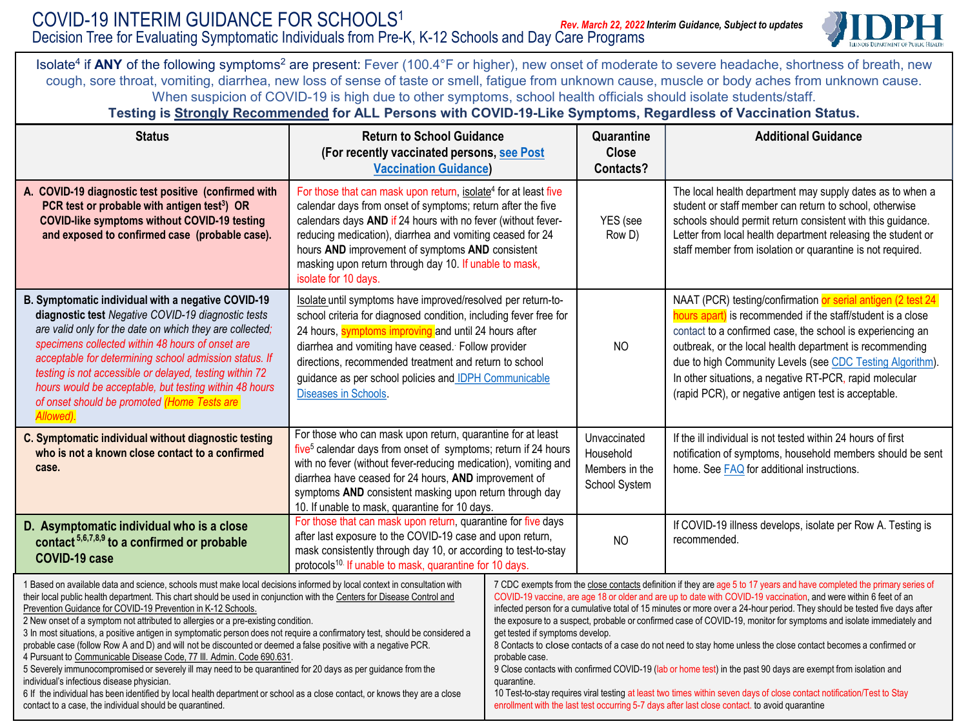

Isolate<sup>4</sup> if ANY of the following symptoms<sup>2</sup> are present: Fever (100.4°F or higher), new onset of moderate to severe headache, shortness of breath, new cough, sore throat, vomiting, diarrhea, new loss of sense of taste or smell, fatigue from unknown cause, muscle or body aches from unknown cause. When suspicion of COVID-19 is high due to other symptoms, school health officials should isolate students/staff.

## **Testing is Strongly Recommended for ALL Persons with COVID-19-Like Symptoms, Regardless of Vaccination Status.**

| <b>Status</b>                                                                                                                                                                                                                                                                                                                                                                                                                                                                                                                                                                                                                                                                                                                                                                                                                                                                                                                                                                                                                                                                            | <b>Return to School Guidance</b><br>(For recently vaccinated persons, see Post<br><b>Vaccination Guidance)</b>                                                                                                                                                                                                                                                                                                |                                                                                                                                                                                                                                                                                                                                                                                                                                                                                                                                                                                                                                                                                                                                                                                                                                                                                                                                                                                                                                     | Quarantine<br><b>Close</b><br>Contacts?                      | <b>Additional Guidance</b>                                                                                                                                                                                                                                                                                                                                                                                                            |
|------------------------------------------------------------------------------------------------------------------------------------------------------------------------------------------------------------------------------------------------------------------------------------------------------------------------------------------------------------------------------------------------------------------------------------------------------------------------------------------------------------------------------------------------------------------------------------------------------------------------------------------------------------------------------------------------------------------------------------------------------------------------------------------------------------------------------------------------------------------------------------------------------------------------------------------------------------------------------------------------------------------------------------------------------------------------------------------|---------------------------------------------------------------------------------------------------------------------------------------------------------------------------------------------------------------------------------------------------------------------------------------------------------------------------------------------------------------------------------------------------------------|-------------------------------------------------------------------------------------------------------------------------------------------------------------------------------------------------------------------------------------------------------------------------------------------------------------------------------------------------------------------------------------------------------------------------------------------------------------------------------------------------------------------------------------------------------------------------------------------------------------------------------------------------------------------------------------------------------------------------------------------------------------------------------------------------------------------------------------------------------------------------------------------------------------------------------------------------------------------------------------------------------------------------------------|--------------------------------------------------------------|---------------------------------------------------------------------------------------------------------------------------------------------------------------------------------------------------------------------------------------------------------------------------------------------------------------------------------------------------------------------------------------------------------------------------------------|
| A. COVID-19 diagnostic test positive (confirmed with<br>PCR test or probable with antigen test <sup>3</sup> ) OR<br><b>COVID-like symptoms without COVID-19 testing</b><br>and exposed to confirmed case (probable case).                                                                                                                                                                                                                                                                                                                                                                                                                                                                                                                                                                                                                                                                                                                                                                                                                                                                | For those that can mask upon return, isolate <sup>4</sup> for at least five<br>calendar days from onset of symptoms; return after the five<br>calendars days AND if 24 hours with no fever (without fever-<br>reducing medication), diarrhea and vomiting ceased for 24<br>hours AND improvement of symptoms AND consistent<br>masking upon return through day 10. If unable to mask,<br>isolate for 10 days. |                                                                                                                                                                                                                                                                                                                                                                                                                                                                                                                                                                                                                                                                                                                                                                                                                                                                                                                                                                                                                                     | YES (see<br>Row D)                                           | The local health department may supply dates as to when a<br>student or staff member can return to school, otherwise<br>schools should permit return consistent with this guidance.<br>Letter from local health department releasing the student or<br>staff member from isolation or quarantine is not required.                                                                                                                     |
| B. Symptomatic individual with a negative COVID-19<br>diagnostic test Negative COVID-19 diagnostic tests<br>are valid only for the date on which they are collected;<br>specimens collected within 48 hours of onset are<br>acceptable for determining school admission status. If<br>testing is not accessible or delayed, testing within 72<br>hours would be acceptable, but testing within 48 hours<br>of onset should be promoted (Home Tests are<br>Allowed).                                                                                                                                                                                                                                                                                                                                                                                                                                                                                                                                                                                                                      | Isolate until symptoms have improved/resolved per return-to-<br>school criteria for diagnosed condition, including fever free for<br>24 hours, symptoms improving and until 24 hours after<br>diarrhea and vomiting have ceased. Follow provider<br>directions, recommended treatment and return to school<br>guidance as per school policies and IDPH Communicable<br>Diseases in Schools.                   |                                                                                                                                                                                                                                                                                                                                                                                                                                                                                                                                                                                                                                                                                                                                                                                                                                                                                                                                                                                                                                     | N <sub>O</sub>                                               | NAAT (PCR) testing/confirmation or serial antigen (2 test 24<br>hours apart) is recommended if the staff/student is a close<br>contact to a confirmed case, the school is experiencing an<br>outbreak, or the local health department is recommending<br>due to high Community Levels (see CDC Testing Algorithm).<br>In other situations, a negative RT-PCR, rapid molecular<br>(rapid PCR), or negative antigen test is acceptable. |
| C. Symptomatic individual without diagnostic testing<br>who is not a known close contact to a confirmed<br>case.                                                                                                                                                                                                                                                                                                                                                                                                                                                                                                                                                                                                                                                                                                                                                                                                                                                                                                                                                                         | For those who can mask upon return, quarantine for at least<br>five <sup>5</sup> calendar days from onset of symptoms; return if 24 hours<br>with no fever (without fever-reducing medication), vomiting and<br>diarrhea have ceased for 24 hours, AND improvement of<br>symptoms AND consistent masking upon return through day<br>10. If unable to mask, quarantine for 10 days.                            |                                                                                                                                                                                                                                                                                                                                                                                                                                                                                                                                                                                                                                                                                                                                                                                                                                                                                                                                                                                                                                     | Unvaccinated<br>Household<br>Members in the<br>School System | If the ill individual is not tested within 24 hours of first<br>notification of symptoms, household members should be sent<br>home. See <b>FAQ</b> for additional instructions.                                                                                                                                                                                                                                                       |
| D. Asymptomatic individual who is a close<br>contact $5,6,7,8,9$ to a confirmed or probable<br>COVID-19 case                                                                                                                                                                                                                                                                                                                                                                                                                                                                                                                                                                                                                                                                                                                                                                                                                                                                                                                                                                             | For those that can mask upon return, quarantine for five days<br>after last exposure to the COVID-19 case and upon return,<br>mask consistently through day 10, or according to test-to-stay<br>protocols <sup>10.</sup> If unable to mask, quarantine for 10 days.                                                                                                                                           |                                                                                                                                                                                                                                                                                                                                                                                                                                                                                                                                                                                                                                                                                                                                                                                                                                                                                                                                                                                                                                     | NO.                                                          | If COVID-19 illness develops, isolate per Row A. Testing is<br>recommended.                                                                                                                                                                                                                                                                                                                                                           |
| 1 Based on available data and science, schools must make local decisions informed by local context in consultation with<br>their local public health department. This chart should be used in conjunction with the Centers for Disease Control and<br>Prevention Guidance for COVID-19 Prevention in K-12 Schools.<br>2 New onset of a symptom not attributed to allergies or a pre-existing condition.<br>3 In most situations, a positive antigen in symptomatic person does not require a confirmatory test, should be considered a<br>probable case (follow Row A and D) and will not be discounted or deemed a false positive with a negative PCR.<br>4 Pursuant to Communicable Disease Code, 77 III. Admin. Code 690.631.<br>5 Severely immunocompromised or severely ill may need to be quarantined for 20 days as per guidance from the<br>individual's infectious disease physician.<br>6 If the individual has been identified by local health department or school as a close contact, or knows they are a close<br>contact to a case, the individual should be quarantined. |                                                                                                                                                                                                                                                                                                                                                                                                               | 7 CDC exempts from the close contacts definition if they are age 5 to 17 years and have completed the primary series of<br>COVID-19 vaccine, are age 18 or older and are up to date with COVID-19 vaccination, and were within 6 feet of an<br>infected person for a cumulative total of 15 minutes or more over a 24-hour period. They should be tested five days after<br>the exposure to a suspect, probable or confirmed case of COVID-19, monitor for symptoms and isolate immediately and<br>get tested if symptoms develop.<br>8 Contacts to close contacts of a case do not need to stay home unless the close contact becomes a confirmed or<br>probable case.<br>9 Close contacts with confirmed COVID-19 (lab or home test) in the past 90 days are exempt from isolation and<br>quarantine.<br>10 Test-to-stay requires viral testing at least two times within seven days of close contact notification/Test to Stay<br>enrollment with the last test occurring 5-7 days after last close contact. to avoid quarantine |                                                              |                                                                                                                                                                                                                                                                                                                                                                                                                                       |